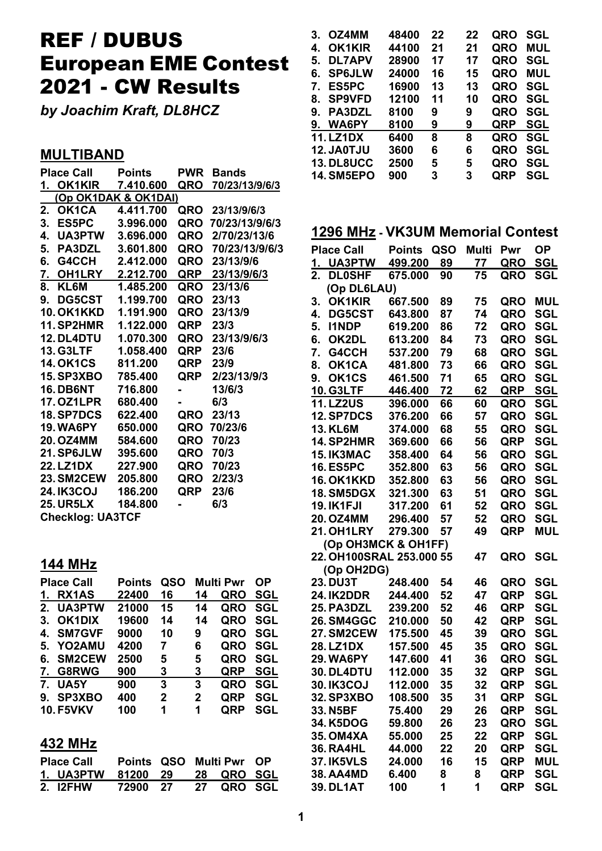# REF / DUBUS European EME Contest 2021 - CW Results

*by Joachim Kraft, DL8HCZ*

## **MULTIBAND**

|    | <b>Place Call</b>       | <b>Points</b>               | <b>PWR</b>     | <b>Bands</b>       |  |  |  |
|----|-------------------------|-----------------------------|----------------|--------------------|--|--|--|
|    |                         | <u>1. OK1KIR 7.410.60</u> 0 | QRO            | 70/23/13/9/6/3     |  |  |  |
|    |                         | (Op OK1DAK & OK1DAI)        |                |                    |  |  |  |
| 2. | <b>OK1CA</b>            | 4.411.700                   |                | QRO 23/13/9/6/3    |  |  |  |
|    | 3. ES5PC 3.996.000      |                             |                | QRO 70/23/13/9/6/3 |  |  |  |
|    | 4. UA3PTW 3.696.000     |                             |                | QRO 2/70/23/13/6   |  |  |  |
|    | 5. PA3DZL 3.601.800     |                             |                | QRO 70/23/13/9/6/3 |  |  |  |
|    | 6. G4CCH                | 2.412.000                   |                | QRO 23/13/9/6      |  |  |  |
|    | 7. OH1LRY 2.212.700     |                             |                | QRP 23/13/9/6/3    |  |  |  |
|    | 8. KL6M                 | 1.485.200                   |                | QRO 23/13/6        |  |  |  |
|    |                         | 9. DG5CST 1.199.700         |                | QRO 23/13          |  |  |  |
|    | 10. OK1KKD 1.191.900    |                             |                | QRO 23/13/9        |  |  |  |
|    |                         |                             | QRP 23/3       |                    |  |  |  |
|    |                         |                             |                | QRO 23/13/9/6/3    |  |  |  |
|    | <b>13. G3LTF</b>        | 1.058.400                   | QRP 23/6       |                    |  |  |  |
|    | <b>14. OK1CS</b>        | 811.200                     | QRP 23/9       |                    |  |  |  |
|    | 15. SP3XBO 785.400      |                             |                | QRP 2/23/13/9/3    |  |  |  |
|    | <b>16. DB6NT</b>        | 716.800                     | $\blacksquare$ | 13/6/3             |  |  |  |
|    | 17. OZ1LPR              | 680.400                     |                | 6/3                |  |  |  |
|    | <b>18. SP7DCS</b>       | 622.400                     | QRO            | 23/13              |  |  |  |
|    | 19. WA6PY               | 650.000                     |                | QRO 70/23/6        |  |  |  |
|    | <b>20. OZ4MM</b>        | 584.600                     | QRO            | 70/23              |  |  |  |
|    | 21. SP6JLW 395,600      |                             | QRO            | 70/3               |  |  |  |
|    | <b>22. LZ1DX</b>        | 227.900                     |                | QRO 70/23          |  |  |  |
|    | 23. SM2CEW 205.800      |                             |                | QRO 2/23/3         |  |  |  |
|    | <b>24. IK3COJ</b>       | 186.200                     | QRP            | 23/6               |  |  |  |
|    | <b>25. UR5LX</b>        | 184.800                     |                | 6/3                |  |  |  |
|    | <b>Checklog: UA3TCF</b> |                             |                |                    |  |  |  |

## **144 MHz**

|    | <b>Place Call</b> | <b>Points</b> | QSO          |              | <b>Multi Pwr</b> | OΡ         |
|----|-------------------|---------------|--------------|--------------|------------------|------------|
| 1. | <b>RX1AS</b>      | 22400         | 16           | 14           | QRO              | SGL        |
|    | 2. UA3PTW         | 21000         | 15           | 14           | QRO              | <b>SGL</b> |
| 3. | <b>OK1DIX</b>     | 19600         | 14           | 14           | QRO SGL          |            |
| 4. | <b>SM7GVF</b>     | 9000          | 10           | 9            | <b>QRO</b>       | <b>SGL</b> |
| 5. | YO2AMU            | 4200          | 7            | 6            | QRO SGL          |            |
| 6. | <b>SM2CEW</b>     | 2500          | 5            | 5            | QRO              | SGL        |
|    | 7. G8RWG          | 900           | 3            | 3            | <b>QRP</b>       | <b>SGL</b> |
| 7. | UA5Y              | 900           | 3            | 3            | QRO              | <b>SGL</b> |
| 9. | SP3XBO            | 400           | $\mathbf{2}$ | $\mathbf{2}$ | <b>QRP</b>       | <b>SGL</b> |
|    | <b>10. F5VKV</b>  | 100           | 1            | 1            | <b>QRP</b>       | SGL        |

### **432 MHz**

| <b>Place Call</b>             | Points QSO Multi Pwr OP |  |                   |  |
|-------------------------------|-------------------------|--|-------------------|--|
| 1. UA3PTW 81200 29 28 QRO SGL |                         |  |                   |  |
| 2. I2FHW                      | 72900 27                |  | <b>27 QRO SGL</b> |  |

| $3_{-}$ | OZ4MM             | 48400 | 22 | 22 | QRO        | <b>SGL</b> |
|---------|-------------------|-------|----|----|------------|------------|
| 4.      | <b>OK1KIR</b>     | 44100 | 21 | 21 | QRO        | <b>MUL</b> |
| 5.      | <b>DL7APV</b>     | 28900 | 17 | 17 | QRO        | <b>SGL</b> |
| 6.      | <b>SP6JLW</b>     | 24000 | 16 | 15 | QRO        | <b>MUL</b> |
|         | 7. ES5PC          | 16900 | 13 | 13 | <b>QRO</b> | <b>SGL</b> |
| 8.      | <b>SP9VFD</b>     | 12100 | 11 | 10 | QRO        | <b>SGL</b> |
| 9.      | <b>PA3DZL</b>     | 8100  | 9  | 9  | QRO        | <b>SGL</b> |
|         | 9. WA6PY          | 8100  | 9  | 9  | QRP        | <b>SGL</b> |
|         | <b>11. LZ1DX</b>  | 6400  | 8  | 8  | QRO        | <b>SGL</b> |
|         | 12. JA0TJU        | 3600  | 6  | 6  | QRO        | <b>SGL</b> |
|         | <b>13. DL8UCC</b> | 2500  | 5  | 5  | QRO        | <b>SGL</b> |
|         | <b>14. SM5EPO</b> | 900   | 3  | 3  | ORP        | SGL        |
|         |                   |       |    |    |            |            |

## **1296 MHz - VK3UM Memorial Contest**

|                  | <b>Place Call</b>        | Points  | QSO | Multi | Pwr        | ΟP         |
|------------------|--------------------------|---------|-----|-------|------------|------------|
| 1.               | <b>UA3PTW</b>            | 499.200 | 89  | 77    | QRO        | SGL        |
| $\overline{2}$ . | <b>DL0SHF</b>            | 675.000 | 90  | 75    | QRO        | <b>SGL</b> |
|                  | (Op DL6LAU)              |         |     |       |            |            |
| 3.               | <b>OK1KIR</b>            | 667.500 | 89  | 75    | QRO        | <b>MUL</b> |
| 4.               | <b>DG5CST</b>            | 643.800 | 87  | 74    | QRO        | <b>SGL</b> |
| 5.               | <b>I1NDP</b>             | 619.200 | 86  | 72    | QRO        | <b>SGL</b> |
| 6.               | <b>OK2DL</b>             | 613.200 | 84  | 73    | QRO        | SGL        |
| 7.               | G4CCH                    | 537.200 | 79  | 68    | QRO        | SGL        |
| 8.               | OK1CA                    | 481.800 | 73  | 66    | QRO        | <b>SGL</b> |
| 9.               | OK <sub>1</sub> CS       | 461.500 | 71  | 65    | <b>QRO</b> | <b>SGL</b> |
|                  | <b>10. G3LTF</b>         | 446.400 | 72  | 62    | QRP        | <b>SGL</b> |
|                  | <b>11.LZ2US</b>          | 396.000 | 66  | 60    | <b>QRO</b> | SGL        |
|                  | 12. SP7DCS               | 376.200 | 66  | 57    | QRO        | SGL        |
|                  | <b>13. KL6M</b>          | 374.000 | 68  | 55    | QRO        | SGL        |
|                  | 14. SP2HMR               | 369.600 | 66  | 56    | <b>QRP</b> | <b>SGL</b> |
|                  | 15. IK3MAC               | 358.400 | 64  | 56    | QRO        | SGL        |
|                  | <b>16. ES5PC</b>         | 352.800 | 63  | 56    | QRO        | SGL        |
|                  | <b>16. OK1KKD</b>        | 352.800 | 63  | 56    | QRO        | SGL        |
|                  | <b>18. SM5DGX</b>        | 321.300 | 63  | 51    | <b>QRO</b> | SGL        |
|                  | <b>19. IK1FJI</b>        | 317.200 | 61  | 52    | QRO        | SGL        |
|                  | <b>20. OZ4MM</b>         | 296.400 | 57  | 52    | QRO        | <b>SGL</b> |
|                  | <b>21. OH1LRY</b>        | 279.300 | 57  | 49    | QRP        | <b>MUL</b> |
|                  | (Op OH3MCK & OH1FF)      |         |     |       |            |            |
|                  | 22. OH100SRAL 253.000 55 |         |     | 47    | QRO        | <b>SGL</b> |
|                  | (Op OH2DG)               |         |     |       |            |            |
|                  | 23. DU3T                 | 248.400 | 54  | 46    | QRO        | SGL        |
|                  | 24. IK2DDR               | 244.400 | 52  | 47    | QRP        | SGL        |
|                  | 25. PA3DZL               | 239.200 | 52  | 46    | QRP        | SGL        |
|                  | <b>26. SM4GGC</b>        | 210.000 | 50  | 42    | QRP        | SGL        |
|                  | <b>27. SM2CEW</b>        | 175.500 | 45  | 39    | QRO        | <b>SGL</b> |
|                  | 28. LZ1DX                | 157.500 | 45  | 35    | <b>QRO</b> | <b>SGL</b> |
|                  | <b>29. WA6PY</b>         | 147.600 | 41  | 36    | QRO        | SGL        |
|                  | <b>30. DL4DTU</b>        | 112.000 | 35  | 32    | QRP        | SGL        |
|                  | <b>30. IK3COJ</b>        | 112.000 | 35  | 32    | QRP        | SGL        |
|                  | 32. SP3XBO               | 108.500 | 35  | 31    | QRP        | SGL        |
|                  | 33. N5BF                 | 75.400  | 29  | 26    | QRP        | <b>SGL</b> |
|                  | 34. K5DOG                | 59.800  | 26  | 23    | QRO        | <b>SGL</b> |
|                  | <b>35. OM4XA</b>         | 55.000  | 25  | 22    | QRP        | <b>SGL</b> |
|                  | <b>36. RA4HL</b>         | 44.000  | 22  | 20    | <b>QRP</b> | <b>SGL</b> |
|                  | <b>37. IK5VLS</b>        | 24.000  | 16  | 15    | QRP        | <b>MUL</b> |
|                  | <b>38. AA4MD</b>         | 6.400   | 8   | 8     | QRP        | <b>SGL</b> |
|                  | <b>39. DL1AT</b>         | 100     | 1   | 1     | QRP        | <b>SGL</b> |